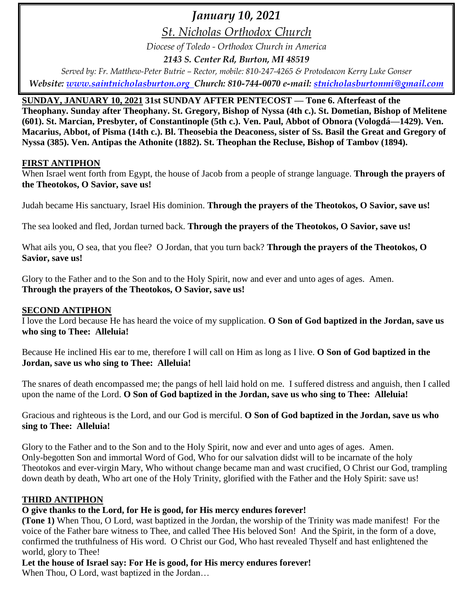# *January 10, 2021*

*St. Nicholas Orthodox Church*

*Diocese of Toledo - Orthodox Church in America*

*2143 S. Center Rd, Burton, MI 48519*

*Served by: Fr. Matthew-Peter Butrie – Rector, mobile: 810-247-4265 & Protodeacon Kerry Luke Gonser Website: [www.saintnicholasburton.org](http://www.saintnicholasburton.org/) Church: 810-744-0070 e-mail: [stnicholasburtonmi@gmail.com](mailto:stnicholasburtonmi@gmail.com)*

## **SUNDAY, JANUARY 10, 2021 31st SUNDAY AFTER PENTECOST — Tone 6. Afterfeast of the**

**Theophany. Sunday after Theophany. St. Gregory, Bishop of Nyssa (4th c.). St. Dometian, Bishop of Melitene (601). St. Marcian, Presbyter, of Constantinople (5th c.). Ven. Paul, Abbot of Obnora (Vologdá—1429). Ven. Macarius, Abbot, of Pisma (14th c.). Bl. Theosebia the Deaconess, sister of Ss. Basil the Great and Gregory of Nyssa (385). Ven. Antipas the Athonite (1882). St. Theophan the Recluse, Bishop of Tambov (1894).** 

#### **FIRST ANTIPHON**

When Israel went forth from Egypt, the house of Jacob from a people of strange language. **Through the prayers of the Theotokos, O Savior, save us!**

Judah became His sanctuary, Israel His dominion. **Through the prayers of the Theotokos, O Savior, save us!**

The sea looked and fled, Jordan turned back. **Through the prayers of the Theotokos, O Savior, save us!**

What ails you, O sea, that you flee? O Jordan, that you turn back? **Through the prayers of the Theotokos, O Savior, save us!**

Glory to the Father and to the Son and to the Holy Spirit, now and ever and unto ages of ages. Amen. **Through the prayers of the Theotokos, O Savior, save us!**

#### **SECOND ANTIPHON**

I love the Lord because He has heard the voice of my supplication. **O Son of God baptized in the Jordan, save us who sing to Thee: Alleluia!**

Because He inclined His ear to me, therefore I will call on Him as long as I live. **O Son of God baptized in the Jordan, save us who sing to Thee: Alleluia!**

The snares of death encompassed me; the pangs of hell laid hold on me. I suffered distress and anguish, then I called upon the name of the Lord. **O Son of God baptized in the Jordan, save us who sing to Thee: Alleluia!**

Gracious and righteous is the Lord, and our God is merciful. **O Son of God baptized in the Jordan, save us who sing to Thee: Alleluia!**

Glory to the Father and to the Son and to the Holy Spirit, now and ever and unto ages of ages. Amen. Only-begotten Son and immortal Word of God, Who for our salvation didst will to be incarnate of the holy Theotokos and ever-virgin Mary, Who without change became man and wast crucified, O Christ our God, trampling down death by death, Who art one of the Holy Trinity, glorified with the Father and the Holy Spirit: save us!

### **THIRD ANTIPHON**

## **O give thanks to the Lord, for He is good, for His mercy endures forever!**

**(Tone 1)** When Thou, O Lord, wast baptized in the Jordan, the worship of the Trinity was made manifest! For the voice of the Father bare witness to Thee, and called Thee His beloved Son! And the Spirit, in the form of a dove, confirmed the truthfulness of His word. O Christ our God, Who hast revealed Thyself and hast enlightened the world, glory to Thee!

# **Let the house of Israel say: For He is good, for His mercy endures forever!**

When Thou, O Lord, wast baptized in the Jordan…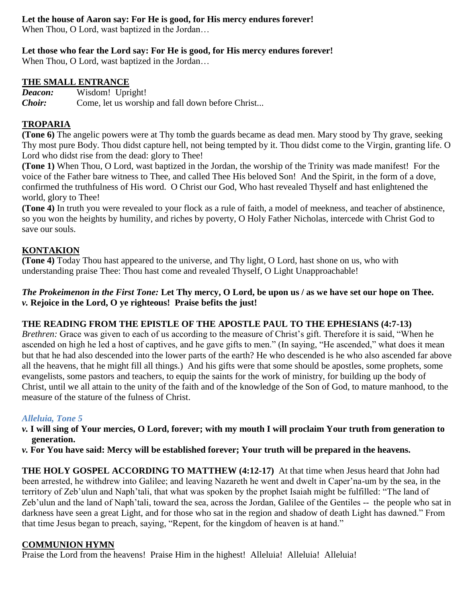### **Let the house of Aaron say: For He is good, for His mercy endures forever!**

When Thou, O Lord, wast baptized in the Jordan…

### **Let those who fear the Lord say: For He is good, for His mercy endures forever!**

When Thou, O Lord, wast baptized in the Jordan…

#### **THE SMALL ENTRANCE**

*Deacon:* Wisdom! Upright! *Choir:* Come, let us worship and fall down before Christ...

#### **TROPARIA**

**(Tone 6)** The angelic powers were at Thy tomb the guards became as dead men. Mary stood by Thy grave, seeking Thy most pure Body. Thou didst capture hell, not being tempted by it. Thou didst come to the Virgin, granting life. O Lord who didst rise from the dead: glory to Thee!

**(Tone 1)** When Thou, O Lord, wast baptized in the Jordan, the worship of the Trinity was made manifest! For the voice of the Father bare witness to Thee, and called Thee His beloved Son! And the Spirit, in the form of a dove, confirmed the truthfulness of His word. O Christ our God, Who hast revealed Thyself and hast enlightened the world, glory to Thee!

**(Tone 4)** In truth you were revealed to your flock as a rule of faith, a model of meekness, and teacher of abstinence, so you won the heights by humility, and riches by poverty, O Holy Father Nicholas, intercede with Christ God to save our souls.

### **KONTAKION**

**(Tone 4)** Today Thou hast appeared to the universe, and Thy light, O Lord, hast shone on us, who with understanding praise Thee: Thou hast come and revealed Thyself, O Light Unapproachable!

#### *The Prokeimenon in the First Tone:* **Let Thy mercy, O Lord, be upon us / as we have set our hope on Thee.** *v.* **Rejoice in the Lord, O ye righteous! Praise befits the just!**

#### **THE READING FROM THE EPISTLE OF THE APOSTLE PAUL TO THE EPHESIANS (4:7-13)**

*Brethren:* Grace was given to each of us according to the measure of Christ's gift. Therefore it is said, "When he ascended on high he led a host of captives, and he gave gifts to men." (In saying, "He ascended," what does it mean but that he had also descended into the lower parts of the earth? He who descended is he who also ascended far above all the heavens, that he might fill all things.) And his gifts were that some should be apostles, some prophets, some evangelists, some pastors and teachers, to equip the saints for the work of ministry, for building up the body of Christ, until we all attain to the unity of the faith and of the knowledge of the Son of God, to mature manhood, to the measure of the stature of the fulness of Christ.

#### *Alleluia, Tone 5*

- *v.* **I will sing of Your mercies, O Lord, forever; with my mouth I will proclaim Your truth from generation to generation.**
- *v.* **For You have said: Mercy will be established forever; Your truth will be prepared in the heavens.**

**THE HOLY GOSPEL ACCORDING TO MATTHEW (4:12-17)** At that time when Jesus heard that John had been arrested, he withdrew into Galilee; and leaving Nazareth he went and dwelt in Caper'na-um by the sea, in the territory of Zeb'ulun and Naph'tali, that what was spoken by the prophet Isaiah might be fulfilled: "The land of Zeb'ulun and the land of Naph'tali, toward the sea, across the Jordan, Galilee of the Gentiles -- the people who sat in darkness have seen a great Light, and for those who sat in the region and shadow of death Light has dawned." From that time Jesus began to preach, saying, "Repent, for the kingdom of heaven is at hand."

#### **COMMUNION HYMN**

Praise the Lord from the heavens! Praise Him in the highest! Alleluia! Alleluia! Alleluia!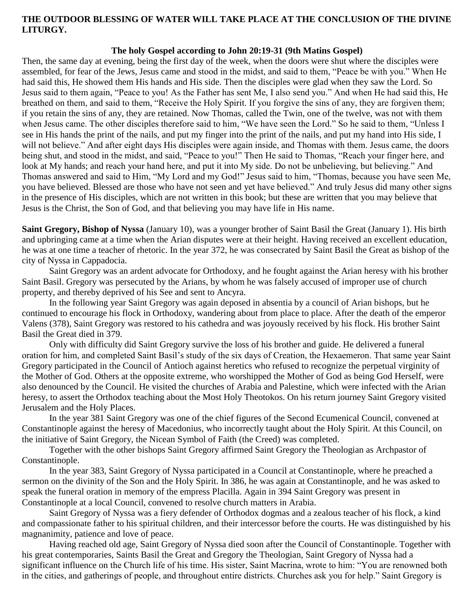#### **THE OUTDOOR BLESSING OF WATER WILL TAKE PLACE AT THE CONCLUSION OF THE DIVINE LITURGY.**

#### **The holy Gospel according to John 20:19-31 (9th Matins Gospel)**

Then, the same day at evening, being the first day of the week, when the doors were shut where the disciples were assembled, for fear of the Jews, Jesus came and stood in the midst, and said to them, "Peace be with you." When He had said this, He showed them His hands and His side. Then the disciples were glad when they saw the Lord. So Jesus said to them again, "Peace to you! As the Father has sent Me, I also send you." And when He had said this, He breathed on them, and said to them, "Receive the Holy Spirit. If you forgive the sins of any, they are forgiven them; if you retain the sins of any, they are retained. Now Thomas, called the Twin, one of the twelve, was not with them when Jesus came. The other disciples therefore said to him, "We have seen the Lord." So he said to them, "Unless I see in His hands the print of the nails, and put my finger into the print of the nails, and put my hand into His side, I will not believe." And after eight days His disciples were again inside, and Thomas with them. Jesus came, the doors being shut, and stood in the midst, and said, "Peace to you!" Then He said to Thomas, "Reach your finger here, and look at My hands; and reach your hand here, and put it into My side. Do not be unbelieving, but believing." And Thomas answered and said to Him, "My Lord and my God!" Jesus said to him, "Thomas, because you have seen Me, you have believed. Blessed are those who have not seen and yet have believed." And truly Jesus did many other signs in the presence of His disciples, which are not written in this book; but these are written that you may believe that Jesus is the Christ, the Son of God, and that believing you may have life in His name.

**Saint Gregory, Bishop of Nyssa** (January 10), was a younger brother of Saint Basil the Great (January 1). His birth and upbringing came at a time when the Arian disputes were at their height. Having received an excellent education, he was at one time a teacher of rhetoric. In the year 372, he was consecrated by Saint Basil the Great as bishop of the city of Nyssa in Cappadocia.

Saint Gregory was an ardent advocate for Orthodoxy, and he fought against the Arian heresy with his brother Saint Basil. Gregory was persecuted by the Arians, by whom he was falsely accused of improper use of church property, and thereby deprived of his See and sent to Ancyra.

In the following year Saint Gregory was again deposed in absentia by a council of Arian bishops, but he continued to encourage his flock in Orthodoxy, wandering about from place to place. After the death of the emperor Valens (378), Saint Gregory was restored to his cathedra and was joyously received by his flock. His brother Saint Basil the Great died in 379.

Only with difficulty did Saint Gregory survive the loss of his brother and guide. He delivered a funeral oration for him, and completed Saint Basil's study of the six days of Creation, the Hexaemeron. That same year Saint Gregory participated in the Council of Antioch against heretics who refused to recognize the perpetual virginity of the Mother of God. Others at the opposite extreme, who worshipped the Mother of God as being God Herself, were also denounced by the Council. He visited the churches of Arabia and Palestine, which were infected with the Arian heresy, to assert the Orthodox teaching about the Most Holy Theotokos. On his return journey Saint Gregory visited Jerusalem and the Holy Places.

In the year 381 Saint Gregory was one of the chief figures of the Second Ecumenical Council, convened at Constantinople against the heresy of Macedonius, who incorrectly taught about the Holy Spirit. At this Council, on the initiative of Saint Gregory, the Nicean Symbol of Faith (the Creed) was completed.

Together with the other bishops Saint Gregory affirmed Saint Gregory the Theologian as Archpastor of Constantinople.

In the year 383, Saint Gregory of Nyssa participated in a Council at Constantinople, where he preached a sermon on the divinity of the Son and the Holy Spirit. In 386, he was again at Constantinople, and he was asked to speak the funeral oration in memory of the empress Placilla. Again in 394 Saint Gregory was present in Constantinople at a local Council, convened to resolve church matters in Arabia.

Saint Gregory of Nyssa was a fiery defender of Orthodox dogmas and a zealous teacher of his flock, a kind and compassionate father to his spiritual children, and their intercessor before the courts. He was distinguished by his magnanimity, patience and love of peace.

Having reached old age, Saint Gregory of Nyssa died soon after the Council of Constantinople. Together with his great contemporaries, Saints Basil the Great and Gregory the Theologian, Saint Gregory of Nyssa had a significant influence on the Church life of his time. His sister, Saint Macrina, wrote to him: "You are renowned both in the cities, and gatherings of people, and throughout entire districts. Churches ask you for help." Saint Gregory is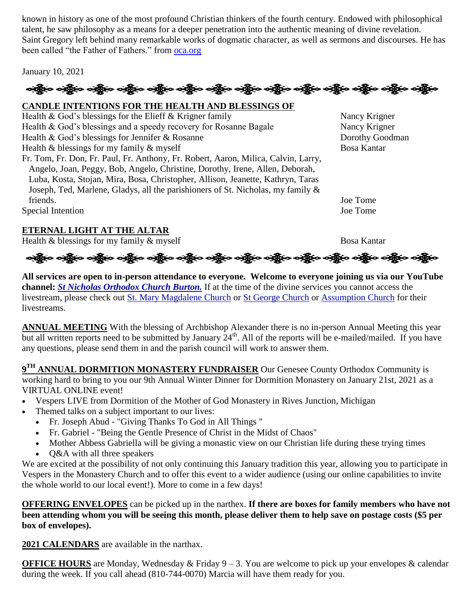known in history as one of the most profound Christian thinkers of the fourth century. Endowed with philosophical talent, he saw philosophy as a means for a deeper penetration into the authentic meaning of divine revelation. Saint Gregory left behind many remarkable works of dogmatic character, as well as sermons and discourses. He has been called "the Father of Fathers." from [oca.org](https://www.oca.org/saints/lives/2021/01/10/100140-saint-gregory-bishop-of-nyssa)

January 10, 2021

# ခရွို့လ ခရွို့လ ခရွိမ်း တို့မြင်း တို့မြင်း ခရွို့လ ခရွိမ်း ခရွိမ်း ခရွိမ်း ခရွိပါသည်။ သူရွိမ်း ခရွိမ်း ခရွိမ်

# **CANDLE INTENTIONS FOR THE HEALTH AND BLESSINGS OF**

Health & God's blessings for the Elieff & Krigner family<br>
Health & God's blessings and a speedy recovery for Rosanne Bagale Nancy Krigner Health  $&$  God's blessings and a speedy recovery for Rosanne Bagale Health & God's blessings for Jennifer & Rosanne Dorothy Goodman Health & blessings for my family & myself Bosa Kantar Fr. Tom, Fr. Don, Fr. Paul, Fr. Anthony, Fr. Robert, Aaron, Milica, Calvin, Larry, Angelo, Joan, Peggy, Bob, Angelo, Christine, Dorothy, Irene, Allen, Deborah, Luba, Kosta, Stojan, Mira, Bosa, Christopher, Allison, Jeanette, Kathryn, Taras Joseph, Ted, Marlene, Gladys, all the parishioners of St. Nicholas, my family & friends. Joe Tome Special Intention Joe Tome

## **ETERNAL LIGHT AT THE ALTAR**

Health & blessings for my family & myself Bosa Kantar

ခရွိက ခရွိက ခရွိက အိုင်း ပါးသား သို့မှာ ခရွိက ခရွိက ခရွိက ခရွိက အိုင်း သည်။ သည်။ ခရွိက ခရွိက

**All services are open to in-person attendance to everyone. Welcome to everyone joining us via our YouTube channel:** *[St Nicholas Orthodox Church Burton.](https://www.youtube.com/channel/UC59tV-Re443z-GCoETAUvfA)* If at the time of the divine services you cannot access the livestream, please check out [St. Mary Magdalene Church](https://www.youtube.com/channel/UClHAqZrWkXdYELujbbIslHg) or [St George Church](https://www.youtube.com/channel/UCpLWfxMIJK4uQOV41ekE6Wg/videos?view=2&flow=grid) or [Assumption Church](https://www.facebook.com/AssumptionGrandBlanc/) for their livestreams.

**ANNUAL MEETING** With the blessing of Archbishop Alexander there is no in-person Annual Meeting this year but all written reports need to be submitted by January  $24<sup>th</sup>$ . All of the reports will be e-mailed/mailed. If you have any questions, please send them in and the parish council will work to answer them.

**9 TH ANNUAL DORMITION MONASTERY FUNDRAISER** Our Genesee County Orthodox Community is working hard to bring to you our 9th Annual Winter Dinner for Dormition Monastery on January 21st, 2021 as a VIRTUAL ONLINE event!

- Vespers LIVE from Dormition of the Mother of God Monastery in Rives Junction, Michigan
- Themed talks on a subject important to our lives:
	- Fr. Joseph Abud "Giving Thanks To God in All Things "
	- Fr. Gabriel "Being the Gentle Presence of Christ in the Midst of Chaos"
	- Mother Abbess Gabriella will be giving a monastic view on our Christian life during these trying times
	- O&A with all three speakers

We are excited at the possibility of not only continuing this January tradition this year, allowing you to participate in Vespers in the Monastery Church and to offer this event to a wider audience (using our online capabilities to invite the whole world to our local event!). More to come in a few days!

**OFFERING ENVELOPES** can be picked up in the narthex. **If there are boxes for family members who have not been attending whom you will be seeing this month, please deliver them to help save on postage costs (\$5 per box of envelopes).**

**2021 CALENDARS** are available in the narthax.

**OFFICE HOURS** are Monday, Wednesday & Friday 9 – 3. You are welcome to pick up your envelopes & calendar during the week. If you call ahead (810-744-0070) Marcia will have them ready for you.